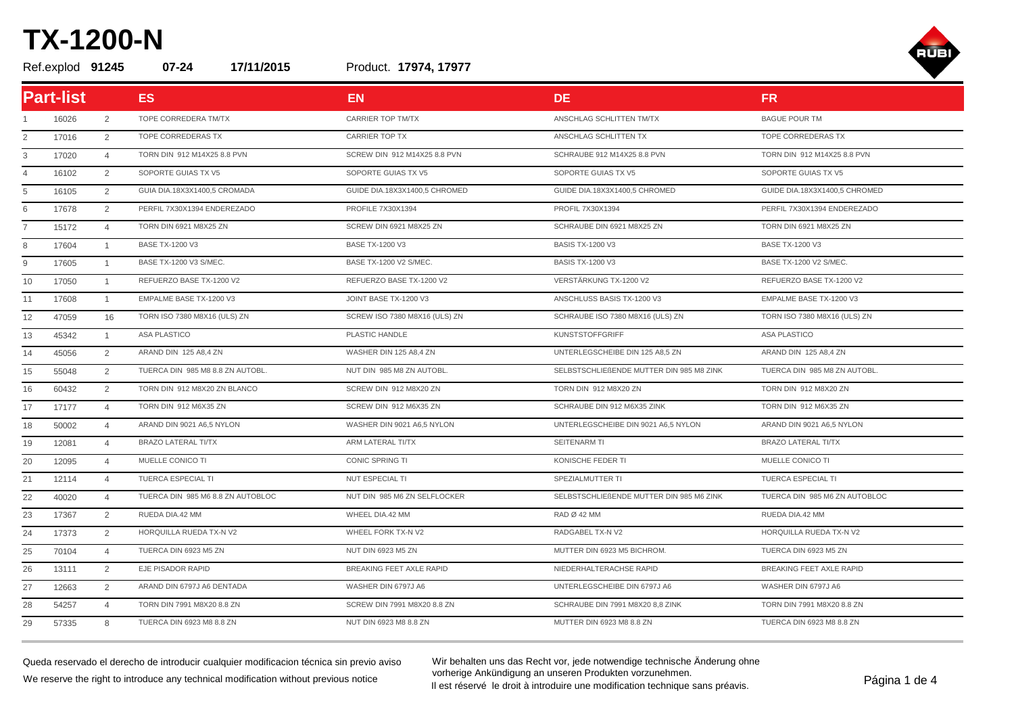Product. Ref.explod **91245 07-24 17/11/2015 17974, 17977**



|                | <b>Part-list</b> |                | <b>ES</b>                         | <b>EN</b>                     | DE.                                      | FR.                           |
|----------------|------------------|----------------|-----------------------------------|-------------------------------|------------------------------------------|-------------------------------|
|                | 16026            | 2              | TOPE CORREDERA TM/TX              | <b>CARRIER TOP TM/TX</b>      | ANSCHLAG SCHLITTEN TM/TX                 | <b>BAGUE POUR TM</b>          |
| 2              | 17016            | 2              | TOPE CORREDERAS TX                | <b>CARRIER TOP TX</b>         | ANSCHLAG SCHLITTEN TX                    | TOPE CORREDERAS TX            |
| 3              | 17020            | $\overline{4}$ | TORN DIN 912 M14X25 8.8 PVN       | SCREW DIN 912 M14X25 8.8 PVN  | SCHRAUBE 912 M14X25 8.8 PVN              | TORN DIN 912 M14X25 8.8 PVN   |
| $\overline{4}$ | 16102            | 2              | SOPORTE GUIAS TX V5               | SOPORTE GUIAS TX V5           | SOPORTE GUIAS TX V5                      | SOPORTE GUIAS TX V5           |
| 5              | 16105            | 2              | GUIA DIA.18X3X1400,5 CROMADA      | GUIDE DIA.18X3X1400,5 CHROMED | GUIDE DIA.18X3X1400,5 CHROMED            | GUIDE DIA.18X3X1400,5 CHROMED |
| 6              | 17678            | 2              | PERFIL 7X30X1394 ENDEREZADO       | PROFILE 7X30X1394             | PROFIL 7X30X1394                         | PERFIL 7X30X1394 ENDEREZADO   |
| $\overline{7}$ | 15172            | $\overline{4}$ | <b>TORN DIN 6921 M8X25 ZN</b>     | SCREW DIN 6921 M8X25 ZN       | SCHRAUBE DIN 6921 M8X25 ZN               | <b>TORN DIN 6921 M8X25 ZN</b> |
| 8              | 17604            | $\overline{1}$ | <b>BASE TX-1200 V3</b>            | <b>BASE TX-1200 V3</b>        | <b>BASIS TX-1200 V3</b>                  | <b>BASE TX-1200 V3</b>        |
| 9              | 17605            | $\overline{1}$ | BASE TX-1200 V3 S/MEC.            | BASE TX-1200 V2 S/MEC.        | <b>BASIS TX-1200 V3</b>                  | BASE TX-1200 V2 S/MEC.        |
| 10             | 17050            | $\overline{1}$ | REFUERZO BASE TX-1200 V2          | REFUERZO BASE TX-1200 V2      | VERSTÄRKUNG TX-1200 V2                   | REFUERZO BASE TX-1200 V2      |
| 11             | 17608            | $\mathbf{1}$   | EMPALME BASE TX-1200 V3           | JOINT BASE TX-1200 V3         | ANSCHLUSS BASIS TX-1200 V3               | EMPALME BASE TX-1200 V3       |
| 12             | 47059            | 16             | TORN ISO 7380 M8X16 (ULS) ZN      | SCREW ISO 7380 M8X16 (ULS) ZN | SCHRAUBE ISO 7380 M8X16 (ULS) ZN         | TORN ISO 7380 M8X16 (ULS) ZN  |
| 13             | 45342            | $\overline{1}$ | ASA PLASTICO                      | PLASTIC HANDLE                | <b>KUNSTSTOFFGRIFF</b>                   | ASA PLASTICO                  |
| 14             | 45056            | 2              | ARAND DIN 125 A8,4 ZN             | WASHER DIN 125 A8,4 ZN        | UNTERLEGSCHEIBE DIN 125 A8,5 ZN          | ARAND DIN 125 A8,4 ZN         |
| 15             | 55048            | 2              | TUERCA DIN 985 M8 8.8 ZN AUTOBL.  | NUT DIN 985 M8 ZN AUTOBL.     | SELBSTSCHLIEßENDE MUTTER DIN 985 M8 ZINK | TUERCA DIN 985 M8 ZN AUTOBL.  |
| 16             | 60432            | 2              | TORN DIN 912 M8X20 ZN BLANCO      | SCREW DIN 912 M8X20 ZN        | TORN DIN 912 M8X20 ZN                    | TORN DIN 912 M8X20 ZN         |
| 17             | 17177            | $\overline{4}$ | TORN DIN 912 M6X35 ZN             | SCREW DIN 912 M6X35 ZN        | SCHRAUBE DIN 912 M6X35 ZINK              | TORN DIN 912 M6X35 ZN         |
| 18             | 50002            | $\overline{4}$ | ARAND DIN 9021 A6,5 NYLON         | WASHER DIN 9021 A6,5 NYLON    | UNTERLEGSCHEIBE DIN 9021 A6,5 NYLON      | ARAND DIN 9021 A6,5 NYLON     |
| 19             | 12081            | $\overline{4}$ | <b>BRAZO LATERAL TI/TX</b>        | ARM LATERAL TI/TX             | SEITENARM TI                             | <b>BRAZO LATERAL TI/TX</b>    |
| 20             | 12095            | $\overline{4}$ | MUELLE CONICO TI                  | CONIC SPRING TI               | KONISCHE FEDER TI                        | MUELLE CONICO TI              |
| 21             | 12114            | $\overline{4}$ | TUERCA ESPECIAL TI                | NUT ESPECIAL TI               | SPEZIALMUTTER TI                         | TUERCA ESPECIAL TI            |
| 22             | 40020            | $\overline{4}$ | TUERCA DIN 985 M6 8.8 ZN AUTOBLOC | NUT DIN 985 M6 ZN SELFLOCKER  | SELBSTSCHLIEßENDE MUTTER DIN 985 M6 ZINK | TUERCA DIN 985 M6 ZN AUTOBLOC |
| 23             | 17367            | 2              | RUEDA DIA.42 MM                   | WHEEL DIA.42 MM               | RAD Ø 42 MM                              | RUEDA DIA.42 MM               |
| 24             | 17373            | 2              | HORQUILLA RUEDA TX-N V2           | WHEEL FORK TX-N V2            | RADGABEL TX-N V2                         | HORQUILLA RUEDA TX-N V2       |
| 25             | 70104            | $\overline{4}$ | TUERCA DIN 6923 M5 ZN             | NUT DIN 6923 M5 ZN            | MUTTER DIN 6923 M5 BICHROM.              | TUERCA DIN 6923 M5 ZN         |
| 26             | 13111            | $\overline{2}$ | EJE PISADOR RAPID                 | BREAKING FEET AXLE RAPID      | NIEDERHALTERACHSE RAPID                  | BREAKING FEET AXLE RAPID      |
| 27             | 12663            | 2              | ARAND DIN 6797J A6 DENTADA        | WASHER DIN 6797J A6           | UNTERLEGSCHEIBE DIN 6797J A6             | WASHER DIN 6797J A6           |
| 28             | 54257            | $\overline{4}$ | TORN DIN 7991 M8X20 8.8 ZN        | SCREW DIN 7991 M8X20 8.8 ZN   | SCHRAUBE DIN 7991 M8X20 8,8 ZINK         | TORN DIN 7991 M8X20 8.8 ZN    |
| 29             | 57335            | $\mathsf{R}$   | TUERCA DIN 6923 M8 8.8 ZN         | NUT DIN 6923 M8 8.8 ZN        | MUTTER DIN 6923 M8 8.8 ZN                | TUERCA DIN 6923 M8 8.8 ZN     |

Queda reservado el derecho de introducir cualquier modificacion técnica sin previo aviso We reserve the right to introduce any technical modification without previous notice

Wir behalten uns das Recht vor, jede notwendige technische Änderung ohne vorherige Ankündigung an unseren Produkten vorzunehmen. vornerige Ankundigung an unseren Produkten vorzunenmen.<br>Il est réservé le droit à introduire une modification technique sans préavis.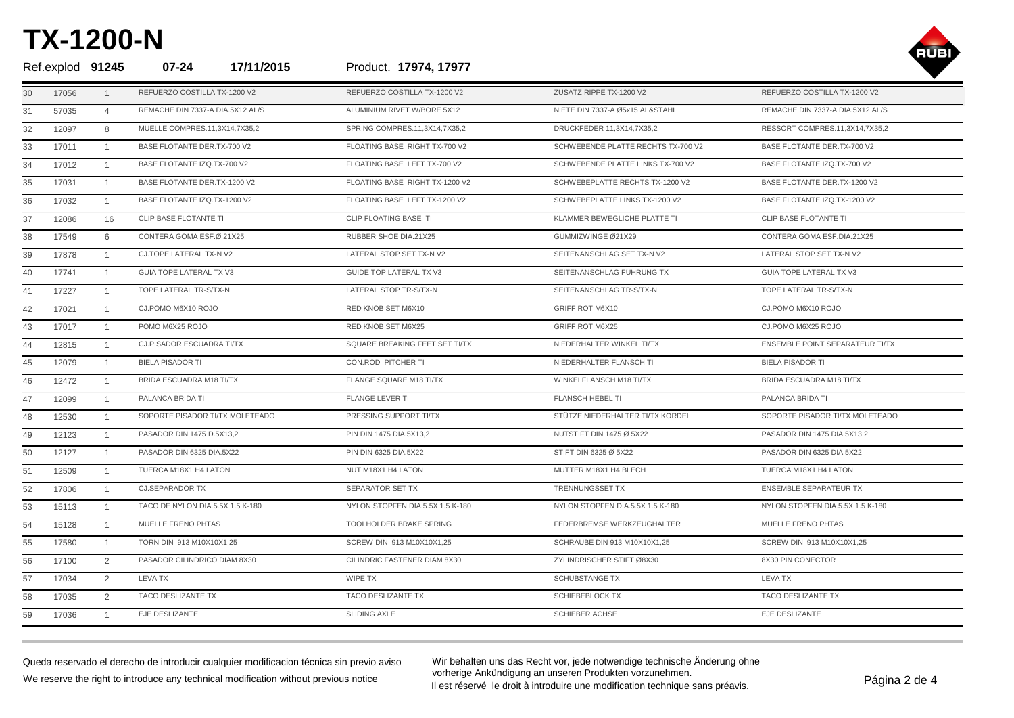

|    |       | Ref.explod 91245 | 17/11/2015<br>$07 - 24$          | Product. 17974, 17977            |                                    |                                  |
|----|-------|------------------|----------------------------------|----------------------------------|------------------------------------|----------------------------------|
| 30 | 17056 |                  | REFUERZO COSTILLA TX-1200 V2     | REFUERZO COSTILLA TX-1200 V2     | ZUSATZ RIPPE TX-1200 V2            | REFUERZO COSTILLA TX-1200 V2     |
| 31 | 57035 | $\overline{4}$   | REMACHE DIN 7337-A DIA.5X12 AL/S | ALUMINIUM RIVET W/BORE 5X12      | NIETE DIN 7337-A Ø5x15 AL&STAHL    | REMACHE DIN 7337-A DIA.5X12 AL/S |
| 32 | 12097 | 8                | MUELLE COMPRES.11,3X14,7X35,2    | SPRING COMPRES.11,3X14,7X35,2    | DRUCKFEDER 11,3X14,7X35,2          | RESSORT COMPRES.11,3X14,7X35,2   |
| 33 | 17011 | $\overline{1}$   | BASE FLOTANTE DER.TX-700 V2      | FLOATING BASE RIGHT TX-700 V2    | SCHWEBENDE PLATTE RECHTS TX-700 V2 | BASE FLOTANTE DER.TX-700 V2      |
| 34 | 17012 | $\overline{1}$   | BASE FLOTANTE IZQ.TX-700 V2      | FLOATING BASE LEFT TX-700 V2     | SCHWEBENDE PLATTE LINKS TX-700 V2  | BASE FLOTANTE IZQ.TX-700 V2      |
| 35 | 17031 | $\overline{1}$   | BASE FLOTANTE DER.TX-1200 V2     | FLOATING BASE RIGHT TX-1200 V2   | SCHWEBEPLATTE RECHTS TX-1200 V2    | BASE FLOTANTE DER.TX-1200 V2     |
| 36 | 17032 | $\mathbf{1}$     | BASE FLOTANTE IZQ.TX-1200 V2     | FLOATING BASE LEFT TX-1200 V2    | SCHWEBEPLATTE LINKS TX-1200 V2     | BASE FLOTANTE IZQ.TX-1200 V2     |
| 37 | 12086 | 16               | CLIP BASE FLOTANTE TI            | CLIP FLOATING BASE TI            | KLAMMER BEWEGLICHE PLATTE TI       | CLIP BASE FLOTANTE TI            |
| 38 | 17549 | 6                | CONTERA GOMA ESF.Ø 21X25         | RUBBER SHOE DIA.21X25            | GUMMIZWINGE Ø21X29                 | CONTERA GOMA ESF.DIA.21X25       |
| 39 | 17878 | $\overline{1}$   | CJ.TOPE LATERAL TX-N V2          | LATERAL STOP SET TX-N V2         | SEITENANSCHLAG SET TX-N V2         | LATERAL STOP SET TX-N V2         |
| 40 | 17741 | $\overline{1}$   | GUIA TOPE LATERAL TX V3          | <b>GUIDE TOP LATERAL TX V3</b>   | SEITENANSCHLAG FÜHRUNG TX          | GUIA TOPE LATERAL TX V3          |
| 41 | 17227 | $\overline{1}$   | TOPE LATERAL TR-S/TX-N           | LATERAL STOP TR-S/TX-N           | SEITENANSCHLAG TR-S/TX-N           | TOPE LATERAL TR-S/TX-N           |
| 42 | 17021 | $\mathbf{1}$     | CJ.POMO M6X10 ROJO               | RED KNOB SET M6X10               | GRIFF ROT M6X10                    | CJ.POMO M6X10 ROJO               |
| 43 | 17017 | $\overline{1}$   | POMO M6X25 ROJO                  | RED KNOB SET M6X25               | <b>GRIFF ROT M6X25</b>             | CJ.POMO M6X25 ROJO               |
| 44 | 12815 | $\overline{1}$   | CJ.PISADOR ESCUADRA TI/TX        | SQUARE BREAKING FEET SET TI/TX   | NIEDERHALTER WINKEL TI/TX          | ENSEMBLE POINT SEPARATEUR TI/TX  |
| 45 | 12079 | $\mathbf{1}$     | <b>BIELA PISADOR TI</b>          | CON.ROD PITCHER TI               | NIEDERHALTER FLANSCH TI            | <b>BIELA PISADOR TI</b>          |
| 46 | 12472 | $\overline{1}$   | BRIDA ESCUADRA M18 TI/TX         | FLANGE SQUARE M18 TI/TX          | WINKELFLANSCH M18 TI/TX            | BRIDA ESCUADRA M18 TI/TX         |
| 47 | 12099 | $\overline{1}$   | PALANCA BRIDA TI                 | <b>FLANGE LEVER TI</b>           | <b>FLANSCH HEBEL TI</b>            | PALANCA BRIDA TI                 |
| 48 | 12530 | $\overline{1}$   | SOPORTE PISADOR TI/TX MOLETEADO  | PRESSING SUPPORT TI/TX           | STÜTZE NIEDERHALTER TI/TX KORDEL   | SOPORTE PISADOR TI/TX MOLETEADO  |
| 49 | 12123 | $\overline{1}$   | PASADOR DIN 1475 D.5X13,2        | PIN DIN 1475 DIA.5X13,2          | NUTSTIFT DIN 1475 Ø 5X22           | PASADOR DIN 1475 DIA.5X13,2      |
| 50 | 12127 | $\overline{1}$   | PASADOR DIN 6325 DIA.5X22        | PIN DIN 6325 DIA.5X22            | STIFT DIN 6325 Ø 5X22              | PASADOR DIN 6325 DIA.5X22        |
| 51 | 12509 | $\overline{1}$   | TUERCA M18X1 H4 LATON            | NUT M18X1 H4 LATON               | MUTTER M18X1 H4 BLECH              | TUERCA M18X1 H4 LATON            |
| 52 | 17806 | $\overline{1}$   | <b>CJ.SEPARADOR TX</b>           | SEPARATOR SET TX                 | TRENNUNGSSET TX                    | <b>ENSEMBLE SEPARATEUR TX</b>    |
| 53 | 15113 | $\overline{1}$   | TACO DE NYLON DIA.5.5X 1.5 K-180 | NYLON STOPFEN DIA.5.5X 1.5 K-180 | NYLON STOPFEN DIA.5.5X 1.5 K-180   | NYLON STOPFEN DIA.5.5X 1.5 K-180 |
| 54 | 15128 | $\overline{1}$   | MUELLE FRENO PHTAS               | <b>TOOLHOLDER BRAKE SPRING</b>   | FEDERBREMSE WERKZEUGHALTER         | MUELLE FRENO PHTAS               |
| 55 | 17580 | $\overline{1}$   | TORN DIN 913 M10X10X1,25         | SCREW DIN 913 M10X10X1,25        | SCHRAUBE DIN 913 M10X10X1,25       | SCREW DIN 913 M10X10X1,25        |
| 56 | 17100 | 2                | PASADOR CILINDRICO DIAM 8X30     | CILINDRIC FASTENER DIAM 8X30     | ZYLINDRISCHER STIFT Ø8X30          | 8X30 PIN CONECTOR                |
| 57 | 17034 | 2                | LEVA TX                          | WIPE TX                          | <b>SCHUBSTANGE TX</b>              | <b>LEVA TX</b>                   |
| 58 | 17035 | 2                | TACO DESLIZANTE TX               | TACO DESLIZANTE TX               | SCHIEBEBLOCK TX                    | TACO DESLIZANTE TX               |
| 59 | 17036 |                  | EJE DESLIZANTE                   | SLIDING AXLE                     | <b>SCHIEBER ACHSE</b>              | EJE DESLIZANTE                   |

Queda reservado el derecho de introducir cualquier modificacion técnica sin previo aviso We reserve the right to introduce any technical modification without previous notice

Wir behalten uns das Recht vor, jede notwendige technische Änderung ohne vorherige Ankündigung an unseren Produkten vorzunehmen. vornerige Ankundigung an unseren Produkten vorzunenmen.<br>Il est réservé le droit à introduire une modification technique sans préavis.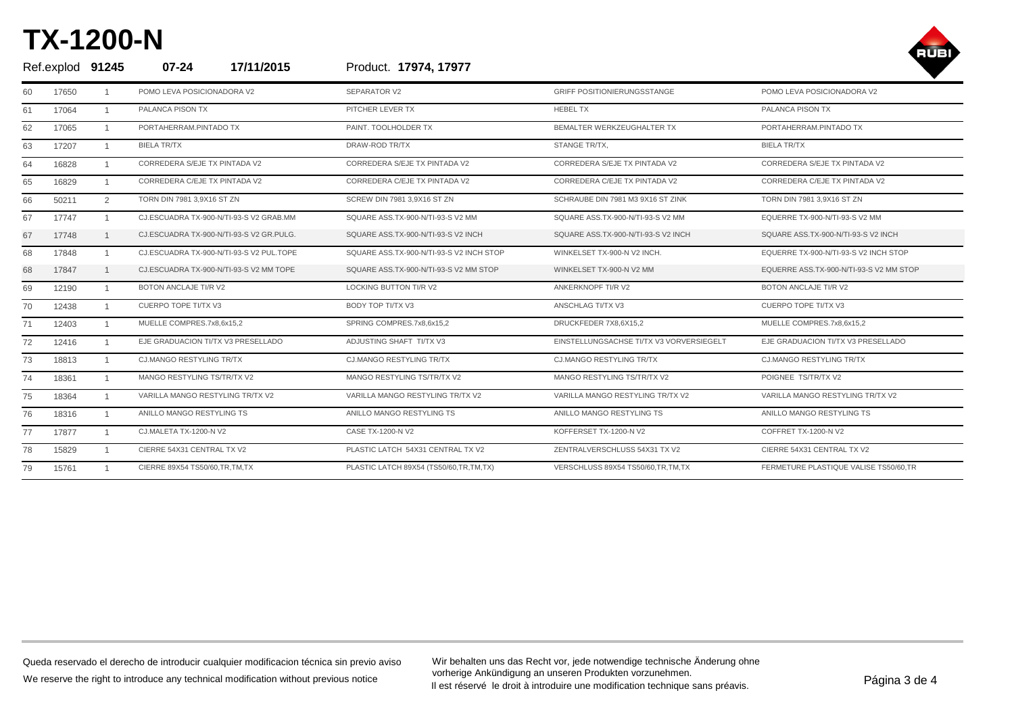

| Ref.explod 91245 |       |              | $07 - 24$<br>17/11/2015                  | Product. 17974, 17977                    |                                          |                                         |
|------------------|-------|--------------|------------------------------------------|------------------------------------------|------------------------------------------|-----------------------------------------|
| 60               | 17650 |              | POMO LEVA POSICIONADORA V2               | SEPARATOR V2                             | <b>GRIFF POSITIONIERUNGSSTANGE</b>       | POMO LEVA POSICIONADORA V2              |
| 61               | 17064 | $\mathbf{1}$ | PALANCA PISON TX                         | PITCHER LEVER TX                         | <b>HEBEL TX</b>                          | PALANCA PISON TX                        |
| 62               | 17065 |              | PORTAHERRAM.PINTADO TX                   | PAINT. TOOLHOLDER TX                     | BEMALTER WERKZEUGHALTER TX               | PORTAHERRAM.PINTADO TX                  |
| 63               | 17207 |              | <b>BIELA TR/TX</b>                       | DRAW-ROD TR/TX                           | STANGE TR/TX.                            | <b>BIELA TR/TX</b>                      |
| 64               | 16828 |              | CORREDERA S/EJE TX PINTADA V2            | CORREDERA S/EJE TX PINTADA V2            | CORREDERA S/EJE TX PINTADA V2            | CORREDERA S/EJE TX PINTADA V2           |
| 65               | 16829 |              | CORREDERA C/EJE TX PINTADA V2            | CORREDERA C/EJE TX PINTADA V2            | CORREDERA C/EJE TX PINTADA V2            | CORREDERA C/EJE TX PINTADA V2           |
| 66               | 50211 | 2            | TORN DIN 7981 3,9X16 ST ZN               | SCREW DIN 7981 3,9X16 ST ZN              | SCHRAUBE DIN 7981 M3 9X16 ST ZINK        | TORN DIN 7981 3,9X16 ST ZN              |
| 67               | 17747 |              | CJ.ESCUADRA TX-900-N/TI-93-S V2 GRAB.MM  | SQUARE ASS.TX-900-N/TI-93-S V2 MM        | SQUARE ASS.TX-900-N/TI-93-S V2 MM        | EQUERRE TX-900-N/TI-93-S V2 MM          |
| 67               | 17748 |              | CJ.ESCUADRA TX-900-N/TI-93-S V2 GR.PULG. | SQUARE ASS.TX-900-N/TI-93-S V2 INCH      | SQUARE ASS.TX-900-N/TI-93-S V2 INCH      | SQUARE ASS.TX-900-N/TI-93-S V2 INCH     |
| 68               | 17848 |              | CJ.ESCUADRA TX-900-N/TI-93-S V2 PUL.TOPE | SQUARE ASS.TX-900-N/TI-93-S V2 INCH STOP | WINKELSET TX-900-N V2 INCH.              | EQUERRE TX-900-N/TI-93-S V2 INCH STOP   |
| 68               | 17847 |              | CJ.ESCUADRA TX-900-N/TI-93-S V2 MM TOPE  | SQUARE ASS.TX-900-N/TI-93-S V2 MM STOP   | WINKELSET TX-900-N V2 MM                 | EQUERRE ASS.TX-900-N/TI-93-S V2 MM STOP |
| 69               | 12190 |              | BOTON ANCLAJE TI/R V2                    | LOCKING BUTTON TI/R V2                   | ANKERKNOPF TI/R V2                       | BOTON ANCLAJE TI/R V2                   |
| 70               | 12438 |              | CUERPO TOPE TI/TX V3                     | BODY TOP TI/TX V3                        | <b>ANSCHLAG TI/TX V3</b>                 | <b>CUERPO TOPE TI/TX V3</b>             |
| 71               | 12403 |              | MUELLE COMPRES.7x8,6x15,2                | SPRING COMPRES.7x8,6x15,2                | DRUCKFEDER 7X8,6X15,2                    | MUELLE COMPRES.7x8,6x15,2               |
| 72               | 12416 |              | EJE GRADUACION TI/TX V3 PRESELLADO       | ADJUSTING SHAFT TI/TX V3                 | EINSTELLUNGSACHSE TI/TX V3 VORVERSIEGELT | EJE GRADUACION TI/TX V3 PRESELLADO      |
| 73               | 18813 |              | CJ.MANGO RESTYLING TR/TX                 | <b>CJ.MANGO RESTYLING TR/TX</b>          | <b>CJ.MANGO RESTYLING TR/TX</b>          | <b>CJ.MANGO RESTYLING TR/TX</b>         |
| 74               | 18361 |              | MANGO RESTYLING TS/TR/TX V2              | MANGO RESTYLING TS/TR/TX V2              | MANGO RESTYLING TS/TR/TX V2              | POIGNEE TS/TR/TX V2                     |
| 75               | 18364 |              | VARILLA MANGO RESTYLING TR/TX V2         | VARILLA MANGO RESTYLING TR/TX V2         | VARILLA MANGO RESTYLING TR/TX V2         | VARILLA MANGO RESTYLING TR/TX V2        |
| 76               | 18316 |              | ANILLO MANGO RESTYLING TS                | ANILLO MANGO RESTYLING TS                | ANILLO MANGO RESTYLING TS                | ANILLO MANGO RESTYLING TS               |
| 77               | 17877 |              | CJ.MALETA TX-1200-N V2                   | CASE TX-1200-N V2                        | KOFFERSET TX-1200-N V2                   | COFFRET TX-1200-N V2                    |
| 78               | 15829 |              | CIERRE 54X31 CENTRAL TX V2               | PLASTIC LATCH 54X31 CENTRAL TX V2        | ZENTRALVERSCHLUSS 54X31 TX V2            | CIERRE 54X31 CENTRAL TX V2              |
| 79               | 15761 |              | CIERRE 89X54 TS50/60.TR.TM.TX            | PLASTIC LATCH 89X54 (TS50/60,TR,TM,TX)   | VERSCHLUSS 89X54 TS50/60.TR.TM.TX        | FERMETURE PLASTIQUE VALISE TS50/60.TR   |

Queda reservado el derecho de introducir cualquier modificacion técnica sin previo aviso We reserve the right to introduce any technical modification without previous notice

Wir behalten uns das Recht vor, jede notwendige technische Änderung ohne vorherige Ankündigung an unseren Produkten vorzunehmen. vornerige Ankundigung an unseren Produkten vorzunenmen.<br>Il est réservé le droit à introduire une modification technique sans préavis.